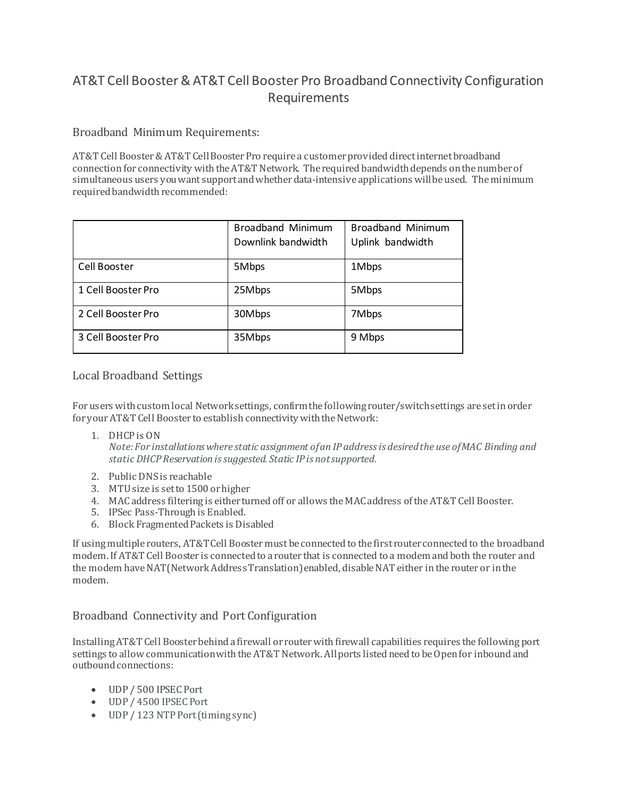## AT&T Cell Booster& AT&T Cell Booster Pro Broadband Connectivity Configuration Requirements

## Broadband Minimum Requirements:

AT&T Cell Booster & AT&T Cell Booster Pro require a customer provided direct internet broadband connection for connectivity with the AT&T Network. The required bandwidth depends on the number of simultaneous users you want support and whether data-intensive applications will be used. The minimum required bandwidth recommended:

|                    | <b>Broadband Minimum</b><br>Downlink bandwidth | <b>Broadband Minimum</b><br>Uplink bandwidth |
|--------------------|------------------------------------------------|----------------------------------------------|
| Cell Booster       | 5Mbps                                          | 1Mbps                                        |
| 1 Cell Booster Pro | 25Mbps                                         | 5Mbps                                        |
| 2 Cell Booster Pro | 30Mbps                                         | 7Mbps                                        |
| 3 Cell Booster Pro | 35Mbps                                         | 9 Mbps                                       |

## Local Broadband Settings

For users with custom local Network settings, confirm the following router/switch settings are set in order for your AT&T Cell Booster to establish connectivity with the Network:

1. DHCP is ON

*Note: For installations where static assignment of an IP address is desired the use of MAC Binding and static DHCP Reservation is suggested. Static IP is not supported.*

- 2. Public DNS is reachable
- 3. MTU size is set to 1500 or higher
- 4. MAC address filtering is either turned off or allows the MAC address of the AT&T Cell Booster.
- 5. IPSec Pass-Through is Enabled.
- 6. Block Fragmented Packets is Disabled

If using multiple routers, AT&T Cell Booster must be connected to the first router connected to the broadband modem. If AT&T Cell Booster is connected to a router that is connected to a modem and both the router and the modem have NAT(Network Address Translation) enabled, disable NAT either in the router or in the modem.

## Broadband Connectivity and Port Configuration

Installing AT&T Cell Booster behind a firewall or router with firewall capabilities requires the following port settings to allow communication with the AT&T Network. All ports listed need to be Open for inbound and outbound connections:

- UDP / 500 IPSEC Port
- UDP / 4500 IPSEC Port
- UDP / 123 NTP Port (timing sync)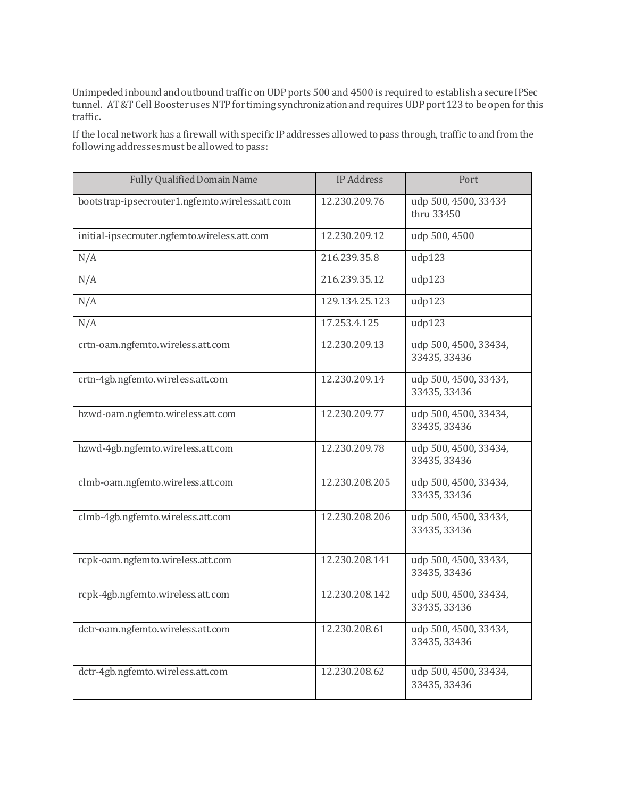Unimpeded inbound and outbound traffic on UDP ports 500 and 4500 is required to establish a secure IPSec tunnel. AT&T Cell Booster uses NTP for timing synchronization and requires UDP port 123 to be open for this traffic.

If the local network has a firewall with specific IP addresses allowed to pass through, traffic to and from the following addresses must be allowed to pass:

| <b>Fully Qualified Domain Name</b>              | <b>IP Address</b> | Port                                  |
|-------------------------------------------------|-------------------|---------------------------------------|
| bootstrap-ipsecrouter1.ngfemto.wireless.att.com | 12.230.209.76     | udp 500, 4500, 33434<br>thru 33450    |
| initial-ipsecrouter.ngfemto.wireless.att.com    | 12.230.209.12     | udp 500, 4500                         |
| N/A                                             | 216.239.35.8      | udp123                                |
| N/A                                             | 216.239.35.12     | udp123                                |
| N/A                                             | 129.134.25.123    | udp123                                |
| N/A                                             | 17.253.4.125      | udp123                                |
| crtn-oam.ngfemto.wireless.att.com               | 12.230.209.13     | udp 500, 4500, 33434,<br>33435, 33436 |
| crtn-4gb.ngfemto.wireless.att.com               | 12.230.209.14     | udp 500, 4500, 33434,<br>33435, 33436 |
| hzwd-oam.ngfemto.wireless.att.com               | 12.230.209.77     | udp 500, 4500, 33434,<br>33435, 33436 |
| hzwd-4gb.ngfemto.wireless.att.com               | 12.230.209.78     | udp 500, 4500, 33434,<br>33435, 33436 |
| clmb-oam.ngfemto.wireless.att.com               | 12.230.208.205    | udp 500, 4500, 33434,<br>33435, 33436 |
| clmb-4gb.ngfemto.wireless.att.com               | 12.230.208.206    | udp 500, 4500, 33434,<br>33435, 33436 |
| rcpk-oam.ngfemto.wireless.att.com               | 12.230.208.141    | udp 500, 4500, 33434,<br>33435, 33436 |
| rcpk-4gb.ngfemto.wireless.att.com               | 12.230.208.142    | udp 500, 4500, 33434,<br>33435, 33436 |
| dctr-oam.ngfemto.wireless.att.com               | 12.230.208.61     | udp 500, 4500, 33434,<br>33435, 33436 |
| dctr-4gb.ngfemto.wireless.att.com               | 12.230.208.62     | udp 500, 4500, 33434,<br>33435, 33436 |